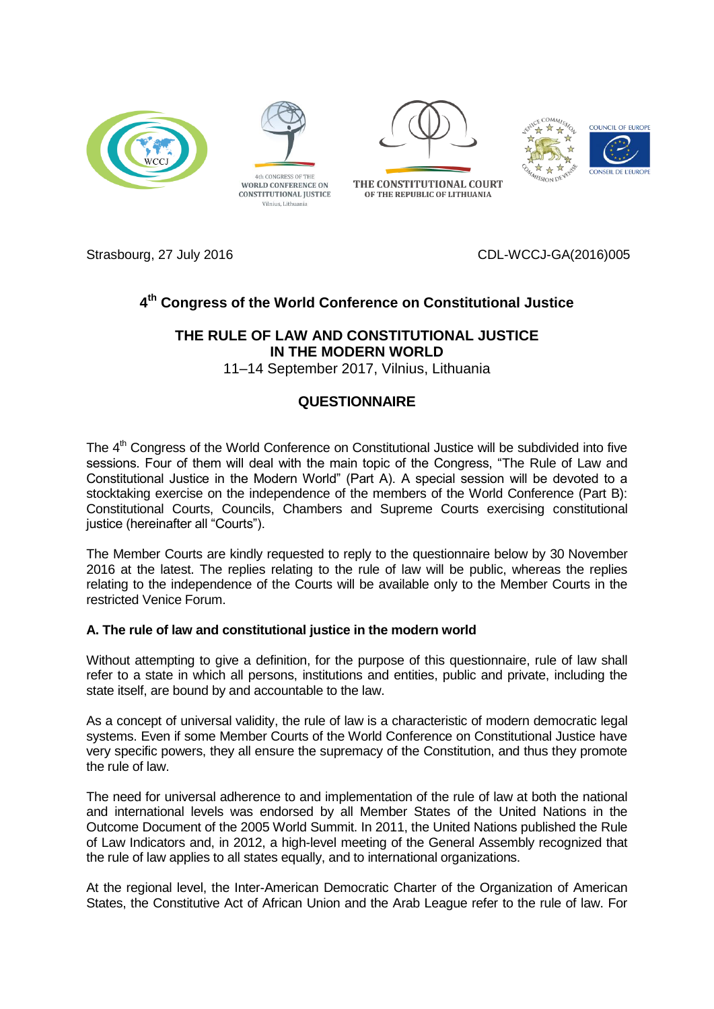



Vilnius, Lithuania



THE CONSTITUTIONAL COURT OF THE REPUBLIC OF LITHUANIA





Strasbourg, 27 July 2016 CDL-WCCJ-GA(2016)005

# **4 th Congress of the World Conference on Constitutional Justice**

## **THE RULE OF LAW AND CONSTITUTIONAL JUSTICE IN THE MODERN WORLD**

11–14 September 2017, Vilnius, Lithuania

## **QUESTIONNAIRE**

The 4<sup>th</sup> Congress of the World Conference on Constitutional Justice will be subdivided into five sessions. Four of them will deal with the main topic of the Congress, "The Rule of Law and Constitutional Justice in the Modern World" (Part A). A special session will be devoted to a stocktaking exercise on the independence of the members of the World Conference (Part B): Constitutional Courts, Councils, Chambers and Supreme Courts exercising constitutional justice (hereinafter all "Courts").

The Member Courts are kindly requested to reply to the questionnaire below by 30 November 2016 at the latest. The replies relating to the rule of law will be public, whereas the replies relating to the independence of the Courts will be available only to the Member Courts in the restricted Venice Forum.

### **A. The rule of law and constitutional justice in the modern world**

Without attempting to give a definition, for the purpose of this questionnaire, rule of law shall refer to a state in which all persons, institutions and entities, public and private, including the state itself, are bound by and accountable to the law.

As a concept of universal validity, the rule of law is a characteristic of modern democratic legal systems. Even if some Member Courts of the World Conference on Constitutional Justice have very specific powers, they all ensure the supremacy of the Constitution, and thus they promote the rule of law.

The need for universal adherence to and implementation of the rule of law at both the national and international levels was endorsed by all Member States of the United Nations in the Outcome Document of the 2005 World Summit. In 2011, the United Nations published the Rule of Law Indicators and, in 2012, a high-level meeting of the General Assembly recognized that the rule of law applies to all states equally, and to international organizations.

At the regional level, the Inter-American Democratic Charter of the Organization of American States, the Constitutive Act of African Union and the Arab League refer to the rule of law. For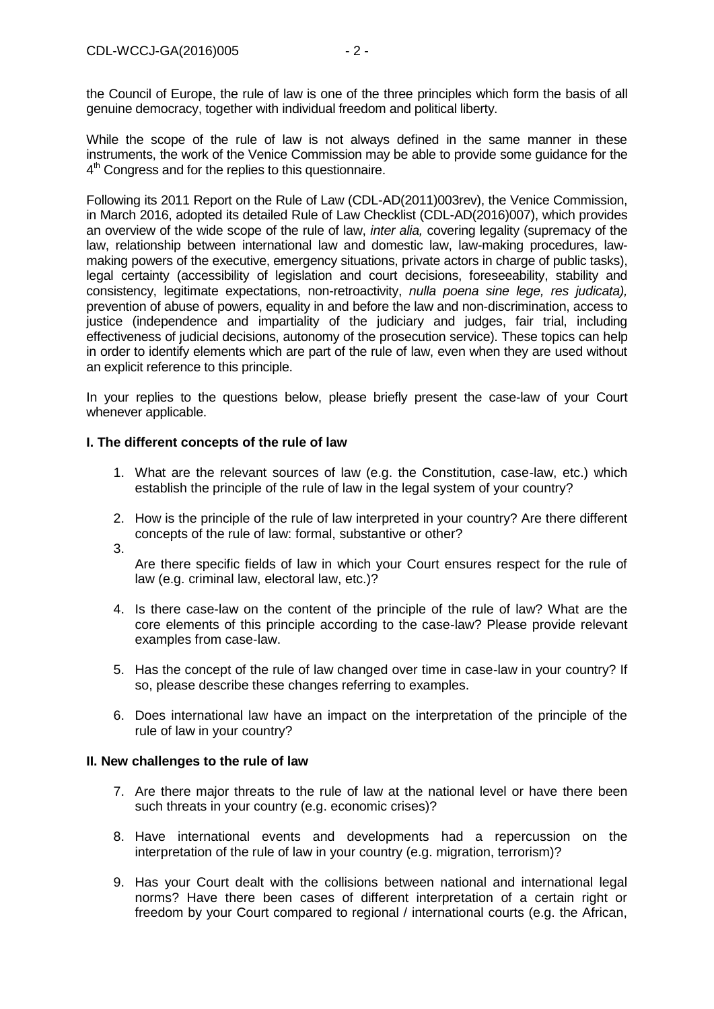the Council of Europe, the rule of law is one of the three principles which form the basis of all genuine democracy, together with individual freedom and political liberty.

While the scope of the rule of law is not always defined in the same manner in these instruments, the work of the Venice Commission may be able to provide some guidance for the 4<sup>th</sup> Congress and for the replies to this questionnaire.

Following its 2011 Report on the Rule of Law (CDL-AD(2011)003rev), the Venice Commission, in March 2016, adopted its detailed Rule of Law Checklist (CDL-AD(2016)007), which provides an overview of the wide scope of the rule of law, *inter alia,* covering legality (supremacy of the law, relationship between international law and domestic law, law-making procedures, lawmaking powers of the executive, emergency situations, private actors in charge of public tasks), legal certainty (accessibility of legislation and court decisions, foreseeability, stability and consistency, legitimate expectations, non-retroactivity, *nulla poena sine lege, res judicata),* prevention of abuse of powers, equality in and before the law and non-discrimination, access to justice (independence and impartiality of the judiciary and judges, fair trial, including effectiveness of judicial decisions, autonomy of the prosecution service). These topics can help in order to identify elements which are part of the rule of law, even when they are used without an explicit reference to this principle.

In your replies to the questions below, please briefly present the case-law of your Court whenever applicable.

### **I. The different concepts of the rule of law**

- 1. What are the relevant sources of law (e.g. the Constitution, case-law, etc.) which establish the principle of the rule of law in the legal system of your country?
- 2. How is the principle of the rule of law interpreted in your country? Are there different concepts of the rule of law: formal, substantive or other?
- 3.

Are there specific fields of law in which your Court ensures respect for the rule of law (e.g. criminal law, electoral law, etc.)?

- 4. Is there case-law on the content of the principle of the rule of law? What are the core elements of this principle according to the case-law? Please provide relevant examples from case-law.
- 5. Has the concept of the rule of law changed over time in case-law in your country? If so, please describe these changes referring to examples.
- 6. Does international law have an impact on the interpretation of the principle of the rule of law in your country?

### **II. New challenges to the rule of law**

- 7. Are there major threats to the rule of law at the national level or have there been such threats in your country (e.g. economic crises)?
- 8. Have international events and developments had a repercussion on the interpretation of the rule of law in your country (e.g. migration, terrorism)?
- 9. Has your Court dealt with the collisions between national and international legal norms? Have there been cases of different interpretation of a certain right or freedom by your Court compared to regional / international courts (e.g. the African,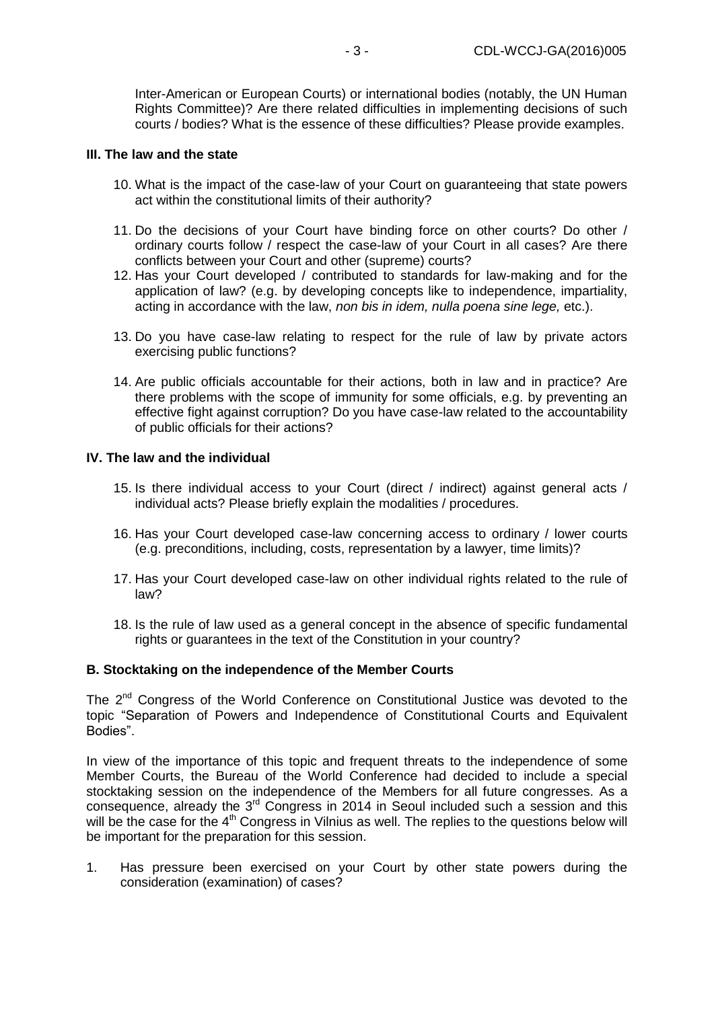Inter-American or European Courts) or international bodies (notably, the UN Human Rights Committee)? Are there related difficulties in implementing decisions of such courts / bodies? What is the essence of these difficulties? Please provide examples.

#### **III. The law and the state**

- 10. What is the impact of the case-law of your Court on guaranteeing that state powers act within the constitutional limits of their authority?
- 11. Do the decisions of your Court have binding force on other courts? Do other / ordinary courts follow / respect the case-law of your Court in all cases? Are there conflicts between your Court and other (supreme) courts?
- 12. Has your Court developed / contributed to standards for law-making and for the application of law? (e.g. by developing concepts like to independence, impartiality, acting in accordance with the law, *non bis in idem, nulla poena sine lege,* etc.).
- 13. Do you have case-law relating to respect for the rule of law by private actors exercising public functions?
- 14. Are public officials accountable for their actions, both in law and in practice? Are there problems with the scope of immunity for some officials, e.g. by preventing an effective fight against corruption? Do you have case-law related to the accountability of public officials for their actions?

#### **IV. The law and the individual**

- 15. Is there individual access to your Court (direct / indirect) against general acts / individual acts? Please briefly explain the modalities / procedures.
- 16. Has your Court developed case-law concerning access to ordinary / lower courts (e.g. preconditions, including, costs, representation by a lawyer, time limits)?
- 17. Has your Court developed case-law on other individual rights related to the rule of law?
- 18. Is the rule of law used as a general concept in the absence of specific fundamental rights or guarantees in the text of the Constitution in your country?

#### **B. Stocktaking on the independence of the Member Courts**

The 2<sup>nd</sup> Congress of the World Conference on Constitutional Justice was devoted to the topic "Separation of Powers and Independence of Constitutional Courts and Equivalent Bodies".

In view of the importance of this topic and frequent threats to the independence of some Member Courts, the Bureau of the World Conference had decided to include a special stocktaking session on the independence of the Members for all future congresses. As a  $consequence$ , already the  $3<sup>rd</sup>$  Congress in 2014 in Seoul included such a session and this will be the case for the 4<sup>th</sup> Congress in Vilnius as well. The replies to the questions below will be important for the preparation for this session.

1. Has pressure been exercised on your Court by other state powers during the consideration (examination) of cases?